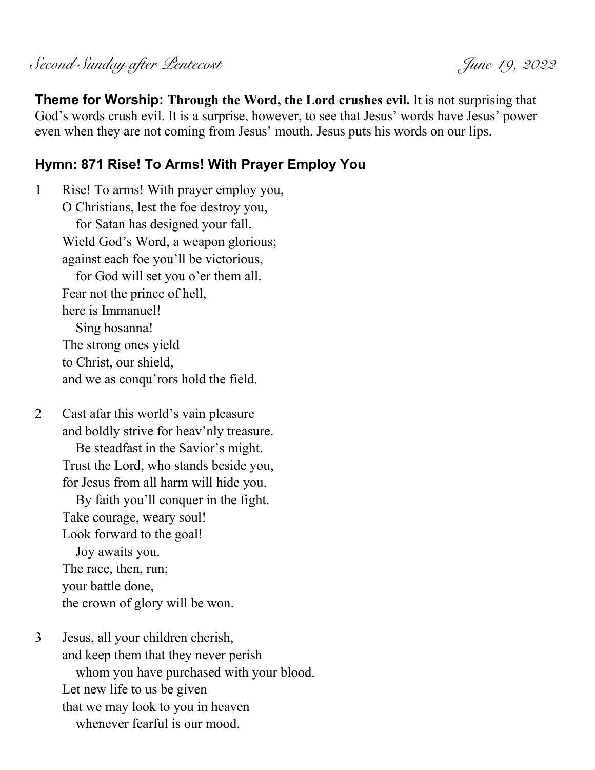Second Sunday after Pentecost June 19, 2022

**Theme for Worship: Through the Word, the Lord crushes evil.** It is not surprising that God's words crush evil. It is a surprise, however, to see that Jesus' words have Jesus' power even when they are not coming from Jesus' mouth. Jesus puts his words on our lips.

### **Hymn: 871 Rise! To Arms! With Prayer Employ You**

1 Rise! To arms! With prayer employ you, O Christians, lest the foe destroy you, for Satan has designed your fall. Wield God's Word, a weapon glorious; against each foe you'll be victorious, for God will set you o'er them all. Fear not the prince of hell, here is Immanuel! Sing hosanna! The strong ones yield to Christ, our shield, and we as conqu'rors hold the field.

2 Cast afar this world's vain pleasure and boldly strive for heav'nly treasure. Be steadfast in the Savior's might. Trust the Lord, who stands beside you, for Jesus from all harm will hide you. By faith you'll conquer in the fight. Take courage, weary soul! Look forward to the goal! Joy awaits you. The race, then, run; your battle done, the crown of glory will be won.

3 Jesus, all your children cherish, and keep them that they never perish whom you have purchased with your blood. Let new life to us be given that we may look to you in heaven whenever fearful is our mood.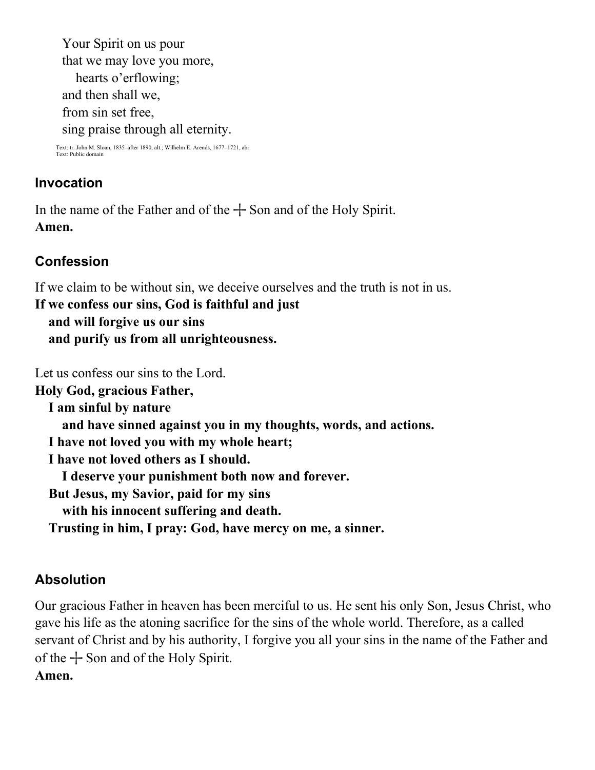Your Spirit on us pour that we may love you more, hearts o'erflowing; and then shall we, from sin set free, sing praise through all eternity.

Text: tr. John M. Sloan, 1835–after 1890, alt.; Wilhelm E. Arends, 1677–1721, abr. Text: Bublic dom<br>Text: Public dom

## **Invocation**

In the name of the Father and of the  $+$  Son and of the Holy Spirit. **Amen.**

# **Confession**

If we claim to be without sin, we deceive ourselves and the truth is not in us.

**If we confess our sins, God is faithful and just and will forgive us our sins and purify us from all unrighteousness.**

Let us confess our sins to the Lord.

**Holy God, gracious Father, I am sinful by nature and have sinned against you in my thoughts, words, and actions. I have not loved you with my whole heart; I have not loved others as I should. I deserve your punishment both now and forever. But Jesus, my Savior, paid for my sins with his innocent suffering and death. Trusting in him, I pray: God, have mercy on me, a sinner.**

## **Absolution**

Our gracious Father in heaven has been merciful to us. He sent his only Son, Jesus Christ, who gave his life as the atoning sacrifice for the sins of the whole world. Therefore, as a called servant of Christ and by his authority, I forgive you all your sins in the name of the Father and of the  $+$  Son and of the Holy Spirit. **Amen.**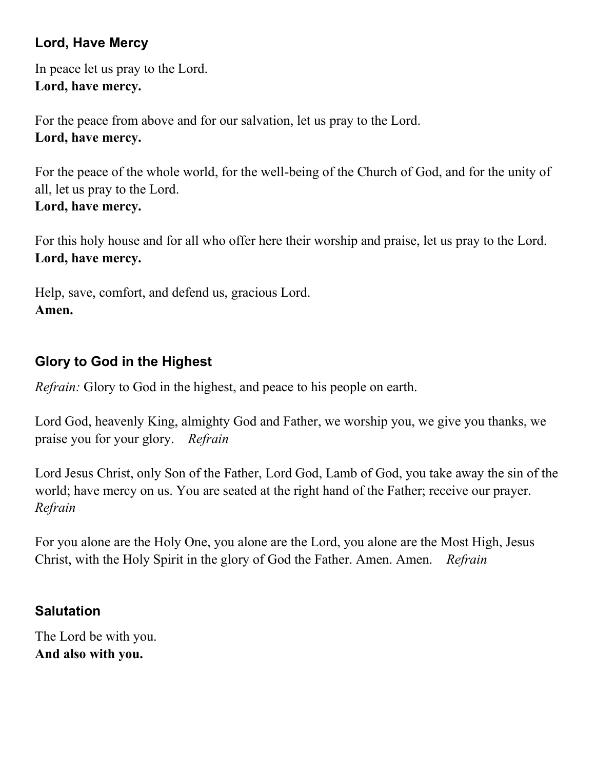# **Lord, Have Mercy**

In peace let us pray to the Lord. **Lord, have mercy.**

For the peace from above and for our salvation, let us pray to the Lord. **Lord, have mercy.**

For the peace of the whole world, for the well-being of the Church of God, and for the unity of all, let us pray to the Lord. **Lord, have mercy.**

For this holy house and for all who offer here their worship and praise, let us pray to the Lord. **Lord, have mercy.**

Help, save, comfort, and defend us, gracious Lord. **Amen.**

## **Glory to God in the Highest**

*Refrain:* Glory to God in the highest, and peace to his people on earth.

Lord God, heavenly King, almighty God and Father, we worship you, we give you thanks, we praise you for your glory. *Refrain*

Lord Jesus Christ, only Son of the Father, Lord God, Lamb of God, you take away the sin of the world; have mercy on us. You are seated at the right hand of the Father; receive our prayer. *Refrain*

For you alone are the Holy One, you alone are the Lord, you alone are the Most High, Jesus Christ, with the Holy Spirit in the glory of God the Father. Amen. Amen. *Refrain*

## **Salutation**

The Lord be with you. **And also with you.**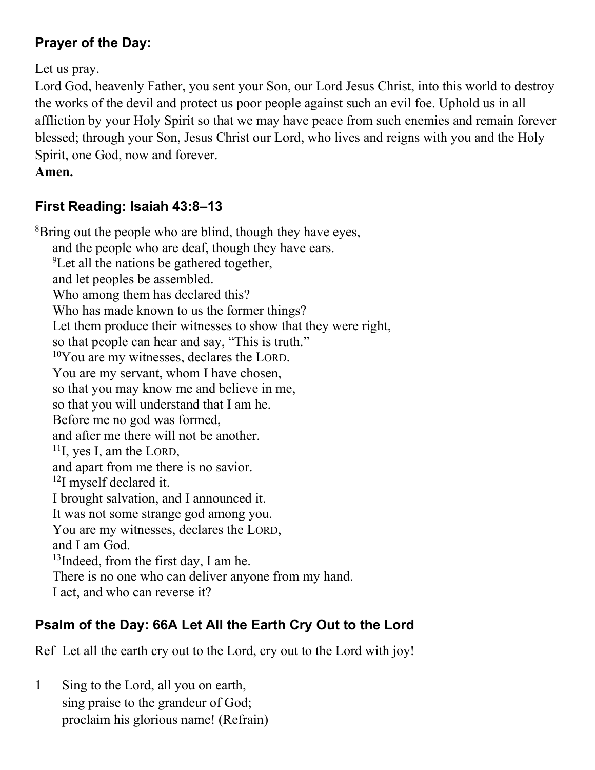# **Prayer of the Day:**

Let us pray.

Lord God, heavenly Father, you sent your Son, our Lord Jesus Christ, into this world to destroy the works of the devil and protect us poor people against such an evil foe. Uphold us in all affliction by your Holy Spirit so that we may have peace from such enemies and remain forever blessed; through your Son, Jesus Christ our Lord, who lives and reigns with you and the Holy Spirit, one God, now and forever.

**Amen.**

# **First Reading: Isaiah 43:8–13**

<sup>8</sup>Bring out the people who are blind, though they have eyes, and the people who are deaf, though they have ears.  ${}^{9}$ Let all the nations be gathered together, and let peoples be assembled. Who among them has declared this? Who has made known to us the former things? Let them produce their witnesses to show that they were right, so that people can hear and say, "This is truth."  $10$ You are my witnesses, declares the LORD. You are my servant, whom I have chosen, so that you may know me and believe in me, so that you will understand that I am he. Before me no god was formed, and after me there will not be another.  $11$ I, yes I, am the LORD, and apart from me there is no savior.  $^{12}$ I myself declared it. I brought salvation, and I announced it. It was not some strange god among you. You are my witnesses, declares the LORD, and I am God. <sup>13</sup>Indeed, from the first day, I am he. There is no one who can deliver anyone from my hand. I act, and who can reverse it?

# **Psalm of the Day: 66A Let All the Earth Cry Out to the Lord**

Ref Let all the earth cry out to the Lord, cry out to the Lord with joy!

1 Sing to the Lord, all you on earth, sing praise to the grandeur of God; proclaim his glorious name! (Refrain)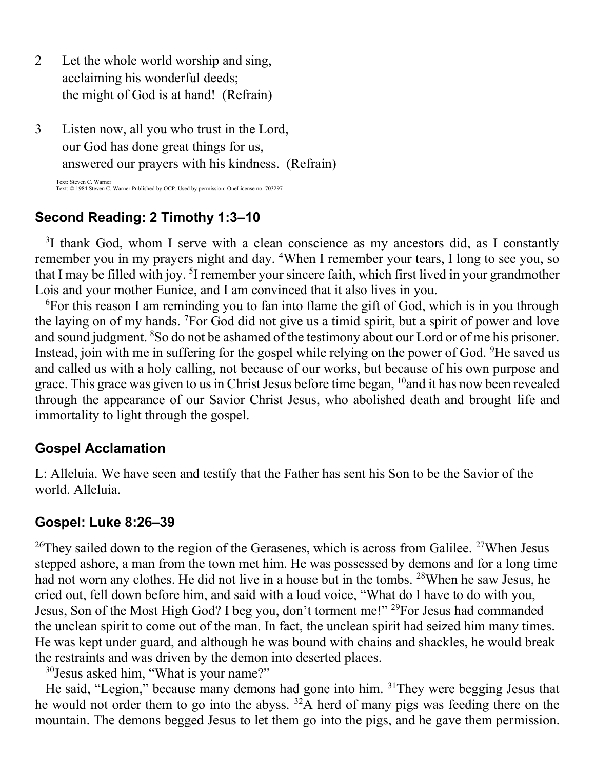- 2 Let the whole world worship and sing, acclaiming his wonderful deeds; the might of God is at hand! (Refrain)
- 3 Listen now, all you who trust in the Lord, our God has done great things for us, answered our prayers with his kindness. (Refrain)

Text: Steven C. Warner Text: © 1984 Steven C. Warner Published by OCP. Used by permission: OneLicense no. 703297

### **Second Reading: 2 Timothy 1:3–10**

<sup>3</sup>I thank God, whom I serve with a clean conscience as my ancestors did, as I constantly remember you in my prayers night and day. <sup>4</sup>When I remember your tears, I long to see you, so that I may be filled with joy. <sup>5</sup>I remember your sincere faith, which first lived in your grandmother Lois and your mother Eunice, and I am convinced that it also lives in you.

<sup>6</sup>For this reason I am reminding you to fan into flame the gift of God, which is in you through the laying on of my hands. <sup>7</sup>For God did not give us a timid spirit, but a spirit of power and love and sound judgment. <sup>8</sup>So do not be ashamed of the testimony about our Lord or of me his prisoner. Instead, join with me in suffering for the gospel while relying on the power of God. <sup>9</sup>He saved us and called us with a holy calling, not because of our works, but because of his own purpose and grace. This grace was given to us in Christ Jesus before time began, <sup>10</sup> and it has now been revealed through the appearance of our Savior Christ Jesus, who abolished death and brought life and immortality to light through the gospel.

### **Gospel Acclamation**

L: Alleluia. We have seen and testify that the Father has sent his Son to be the Savior of the world. Alleluia.

### **Gospel: Luke 8:26–39**

<sup>26</sup>They sailed down to the region of the Gerasenes, which is across from Galilee. <sup>27</sup>When Jesus stepped ashore, a man from the town met him. He was possessed by demons and for a long time had not worn any clothes. He did not live in a house but in the tombs. <sup>28</sup>When he saw Jesus, he cried out, fell down before him, and said with a loud voice, "What do I have to do with you, Jesus, Son of the Most High God? I beg you, don't torment me!" <sup>29</sup>For Jesus had commanded the unclean spirit to come out of the man. In fact, the unclean spirit had seized him many times. He was kept under guard, and although he was bound with chains and shackles, he would break the restraints and was driven by the demon into deserted places.

<sup>30</sup>Jesus asked him, "What is your name?"

He said, "Legion," because many demons had gone into him. <sup>31</sup>They were begging Jesus that he would not order them to go into the abyss.  $32A$  herd of many pigs was feeding there on the mountain. The demons begged Jesus to let them go into the pigs, and he gave them permission.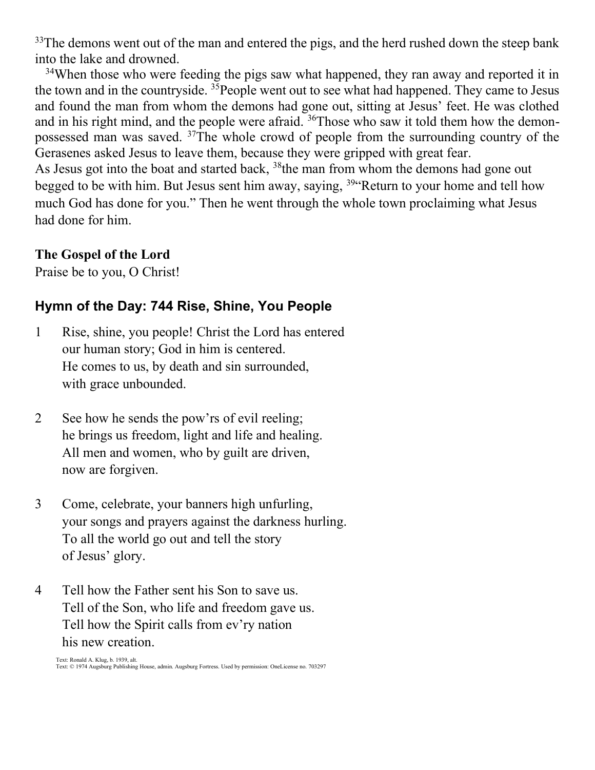$33$ The demons went out of the man and entered the pigs, and the herd rushed down the steep bank into the lake and drowned.

<sup>34</sup>When those who were feeding the pigs saw what happened, they ran away and reported it in the town and in the countryside. <sup>35</sup>People went out to see what had happened. They came to Jesus and found the man from whom the demons had gone out, sitting at Jesus' feet. He was clothed and in his right mind, and the people were afraid. <sup>36</sup>Those who saw it told them how the demonpossessed man was saved. <sup>37</sup>The whole crowd of people from the surrounding country of the Gerasenes asked Jesus to leave them, because they were gripped with great fear. As Jesus got into the boat and started back, <sup>38</sup>the man from whom the demons had gone out begged to be with him. But Jesus sent him away, saying, <sup>39</sup> Return to your home and tell how much God has done for you." Then he went through the whole town proclaiming what Jesus had done for him.

#### **The Gospel of the Lord**

Praise be to you, O Christ!

## **Hymn of the Day: 744 Rise, Shine, You People**

- 1 Rise, shine, you people! Christ the Lord has entered our human story; God in him is centered. He comes to us, by death and sin surrounded, with grace unbounded.
- 2 See how he sends the pow'rs of evil reeling; he brings us freedom, light and life and healing. All men and women, who by guilt are driven, now are forgiven.
- 3 Come, celebrate, your banners high unfurling, your songs and prayers against the darkness hurling. To all the world go out and tell the story of Jesus' glory.
- 4 Tell how the Father sent his Son to save us. Tell of the Son, who life and freedom gave us. Tell how the Spirit calls from ev'ry nation his new creation.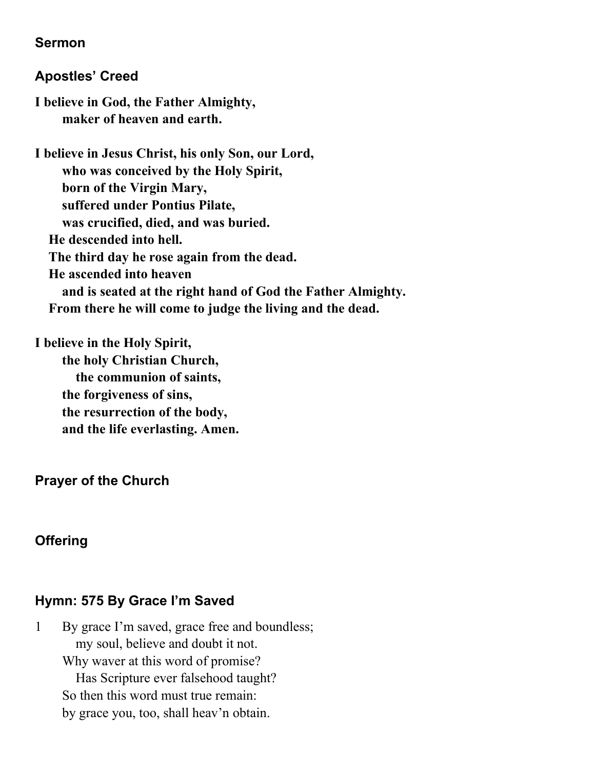### **Sermon**

### **Apostles' Creed**

**I believe in God, the Father Almighty, maker of heaven and earth.**

**I believe in Jesus Christ, his only Son, our Lord, who was conceived by the Holy Spirit, born of the Virgin Mary, suffered under Pontius Pilate, was crucified, died, and was buried. He descended into hell. The third day he rose again from the dead. He ascended into heaven and is seated at the right hand of God the Father Almighty. From there he will come to judge the living and the dead.**

**I believe in the Holy Spirit, the holy Christian Church, the communion of saints, the forgiveness of sins, the resurrection of the body, and the life everlasting. Amen.**

## **Prayer of the Church**

# **Offering**

# **Hymn: 575 By Grace I'm Saved**

1 By grace I'm saved, grace free and boundless; my soul, believe and doubt it not. Why waver at this word of promise? Has Scripture ever falsehood taught? So then this word must true remain: by grace you, too, shall heav'n obtain.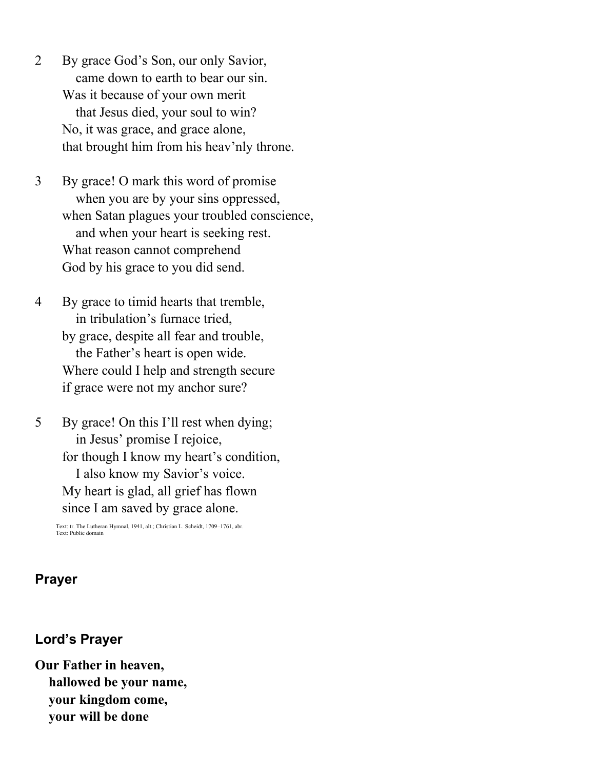- 2 By grace God's Son, our only Savior, came down to earth to bear our sin. Was it because of your own merit that Jesus died, your soul to win? No, it was grace, and grace alone, that brought him from his heav'nly throne.
- 3 By grace! O mark this word of promise when you are by your sins oppressed, when Satan plagues your troubled conscience, and when your heart is seeking rest. What reason cannot comprehend God by his grace to you did send.
- 4 By grace to timid hearts that tremble, in tribulation's furnace tried, by grace, despite all fear and trouble, the Father's heart is open wide. Where could I help and strength secure if grace were not my anchor sure?

5 By grace! On this I'll rest when dying; in Jesus' promise I rejoice, for though I know my heart's condition, I also know my Savior's voice. My heart is glad, all grief has flown since I am saved by grace alone.

Text: tr. The Lutheran Hymnal, 1941, alt.; Christian L. Scheidt, 1709–1761, abr. Text: Public domain

### **Prayer**

#### **Lord's Prayer**

**Our Father in heaven, hallowed be your name, your kingdom come, your will be done**